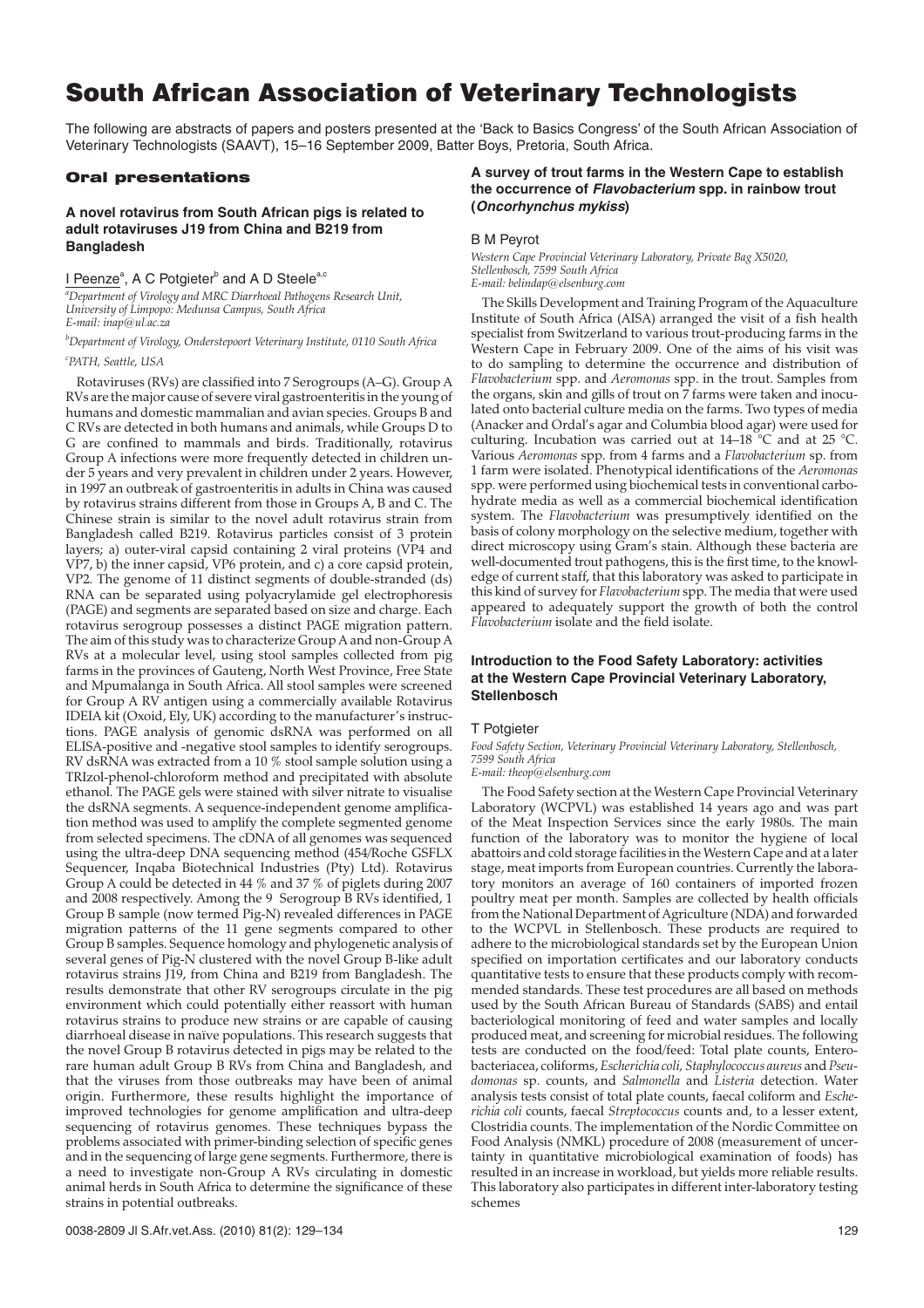# South African Association of Veterinary Technologists

The following are abstracts of papers and posters presented at the 'Back to Basics Congress' of the South African Association of Veterinary Technologists (SAAVT), 15–16 September 2009, Batter Boys, Pretoria, South Africa.

### Oral presentations

### **A novel rotavirus from South African pigs is related to adult rotaviruses J19 from China and B219 from Bangladesh**

# I Peenze<sup>a</sup>, A C Potgieter<sup>b</sup> and A D Steele<sup>a,c</sup>

*a Department of Virology and MRC Diarrhoeal Pathogens Research Unit, University of Limpopo: Medunsa Campus, South Africa E-mail: inap@ul.ac.za*

*b Department of Virology, Onderstepoort Veterinary Institute, 0110 South Africa*

#### *c PATH, Seattle, USA*

Rotaviruses (RVs) are classified into 7 Serogroups (A–G). Group A RVs are the major cause of severe viral gastroenteritis in the young of humans and domestic mammalian and avian species. Groups B and C RVs are detected in both humans and animals, while Groups D to G are confined to mammals and birds. Traditionally, rotavirus Group A infections were more frequently detected in children under 5 years and very prevalent in children under 2 years. However, in 1997 an outbreak of gastroenteritis in adults in China was caused by rotavirus strains different from those in Groups A, B and C. The Chinese strain is similar to the novel adult rotavirus strain from Bangladesh called B219. Rotavirus particles consist of 3 protein layers; a) outer-viral capsid containing 2 viral proteins (VP4 and VP7, b) the inner capsid, VP6 protein, and c) a core capsid protein, VP2. The genome of 11 distinct segments of double-stranded (ds) RNA can be separated using polyacrylamide gel electrophoresis (PAGE) and segments are separated based on size and charge. Each rotavirus serogroup possesses a distinct PAGE migration pattern. The aim of this study was to characterize Group A and non-Group A RVs at a molecular level, using stool samples collected from pig farms in the provinces of Gauteng, North West Province, Free State and Mpumalanga in South Africa. All stool samples were screened for Group A RV antigen using a commercially available Rotavirus IDEIA kit (Oxoid, Ely, UK) according to the manufacturer's instructions. PAGE analysis of genomic dsRNA was performed on all ELISA-positive and -negative stool samples to identify serogroups. RV dsRNA was extracted from a 10 % stool sample solution using a TRIzol-phenol-chloroform method and precipitated with absolute ethanol. The PAGE gels were stained with silver nitrate to visualise the dsRNA segments. A sequence-independent genome amplification method was used to amplify the complete segmented genome from selected specimens. The cDNA of all genomes was sequenced using the ultra-deep DNA sequencing method (454/Roche GSFLX Sequencer, Inqaba Biotechnical Industries (Pty) Ltd). Rotavirus Group A could be detected in 44 % and 37 % of piglets during 2007 and 2008 respectively. Among the 9 Serogroup B RVs identified, 1 Group B sample (now termed Pig-N) revealed differences in PAGE migration patterns of the 11 gene segments compared to other Group B samples. Sequence homology and phylogenetic analysis of several genes of Pig-N clustered with the novel Group B-like adult rotavirus strains J19, from China and B219 from Bangladesh. The results demonstrate that other RV serogroups circulate in the pig environment which could potentially either reassort with human rotavirus strains to produce new strains or are capable of causing diarrhoeal disease in naïve populations. This research suggests that the novel Group B rotavirus detected in pigs may be related to the rare human adult Group B RVs from China and Bangladesh, and that the viruses from those outbreaks may have been of animal origin. Furthermore, these results highlight the importance of improved technologies for genome amplification and ultra-deep sequencing of rotavirus genomes. These techniques bypass the problems associated with primer-binding selection of specific genes and in the sequencing of large gene segments. Furthermore, there is a need to investigate non-Group A RVs circulating in domestic animal herds in South Africa to determine the significance of these strains in potential outbreaks.

# **A survey of trout farms in the Western Cape to establish the occurrence of Flavobacterium spp. in rainbow trout (Oncorhynchus mykiss)**

### B M Peyrot

*Western Cape Provincial Veterinary Laboratory, Private Bag X5020, Stellenbosch, 7599 South Africa E-mail: belindap@elsenburg.com*

The Skills Development and Training Program of the Aquaculture Institute of South Africa (AISA) arranged the visit of a fish health specialist from Switzerland to various trout-producing farms in the Western Cape in February 2009. One of the aims of his visit was to do sampling to determine the occurrence and distribution of *Flavobacterium* spp. and *Aeromonas* spp. in the trout. Samples from the organs, skin and gills of trout on 7 farms were taken and inoculated onto bacterial culture media on the farms. Two types of media (Anacker and Ordal's agar and Columbia blood agar) were used for culturing. Incubation was carried out at 14–18 °C and at 25 °C. Various *Aeromonas* spp. from 4 farms and a *Flavobacterium* sp. from 1 farm were isolated. Phenotypical identifications of the *Aeromonas* spp. were performed using biochemical tests in conventional carbohydrate media as well as a commercial biochemical identification system. The *Flavobacterium* was presumptively identified on the basis of colony morphology on the selective medium, together with direct microscopy using Gram's stain. Although these bacteria are well-documented trout pathogens, this is the first time, to the knowledge of current staff, that this laboratory was asked to participate in this kind of survey for *Flavobacterium* spp. The media that were used appeared to adequately support the growth of both the control *Flavobacterium* isolate and the field isolate.

# **Introduction to the Food Safety Laboratory: activities at the Western Cape Provincial Veterinary Laboratory, Stellenbosch**

### T Potgieter

*Food Safety Section, Veterinary Provincial Veterinary Laboratory, Stellenbosch, 7599 South Africa*

*E-mail: theop@elsenburg.com*

The Food Safety section at the Western Cape Provincial Veterinary Laboratory (WCPVL) was established 14 years ago and was part of the Meat Inspection Services since the early 1980s. The main function of the laboratory was to monitor the hygiene of local abattoirs and cold storage facilities in the Western Cape and at a later stage, meat imports from European countries. Currently the laboratory monitors an average of 160 containers of imported frozen poultry meat per month. Samples are collected by health officials from the National Department of Agriculture (NDA) and forwarded to the WCPVL in Stellenbosch. These products are required to adhere to the microbiological standards set by the European Union specified on importation certificates and our laboratory conducts quantitative tests to ensure that these products comply with recommended standards. These test procedures are all based on methods used by the South African Bureau of Standards (SABS) and entail bacteriological monitoring of feed and water samples and locally produced meat, and screening for microbial residues. The following tests are conducted on the food/feed: Total plate counts, Enterobacteriacea, coliforms, *Escherichia coli, Staphylococcus aureus* and *Pseudomonas* sp. counts, and *Salmonella* and *Listeria* detection. Water analysis tests consist of total plate counts, faecal coliform and *Escherichia coli* counts, faecal *Streptococcus* counts and, to a lesser extent, Clostridia counts. The implementation of the Nordic Committee on Food Analysis (NMKL) procedure of 2008 (measurement of uncertainty in quantitative microbiological examination of foods) has resulted in an increase in workload, but yields more reliable results. This laboratory also participates in different inter-laboratory testing schemes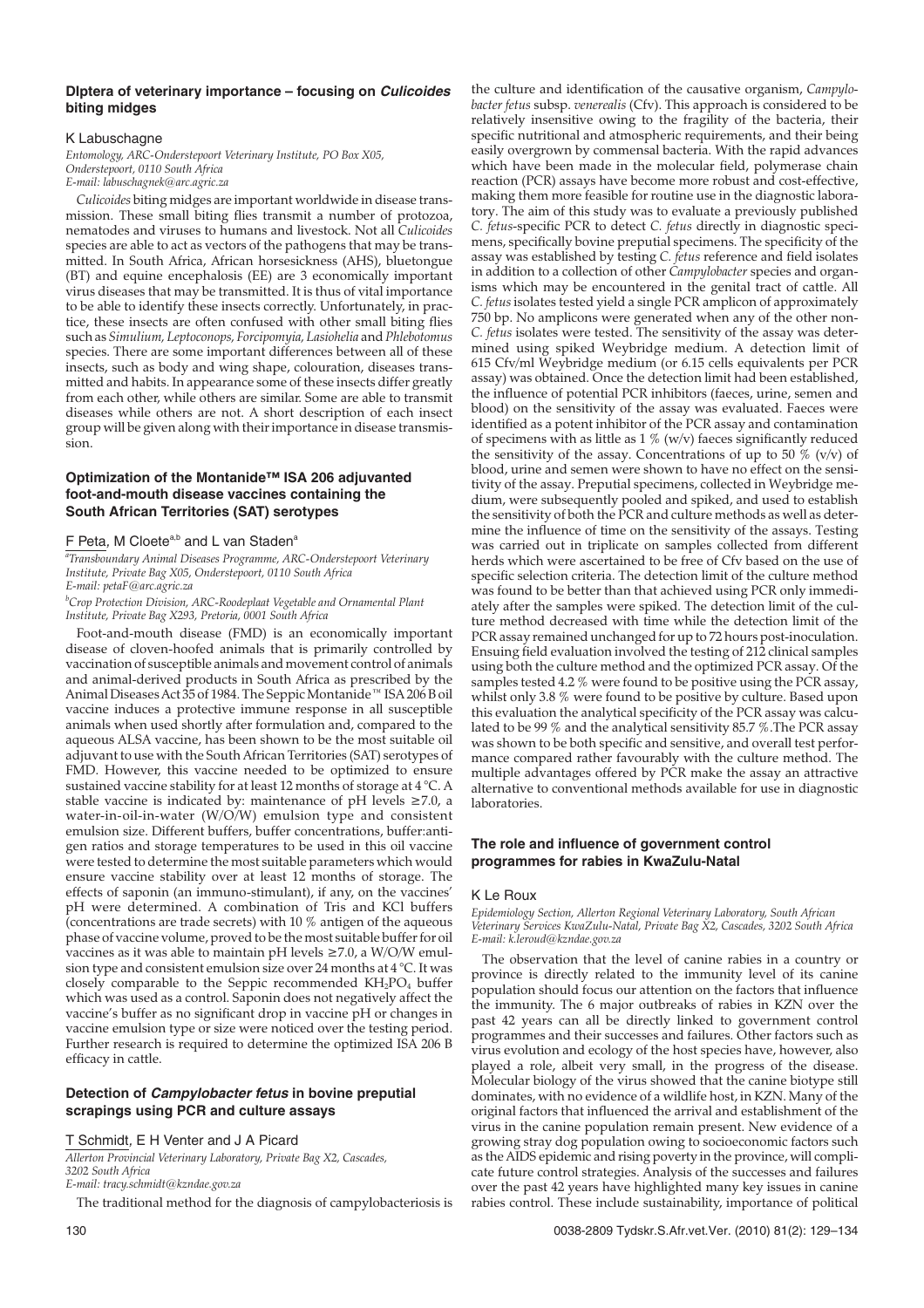### **DIptera of veterinary importance – focusing on Culicoides biting midges**

### K Labuschagne

*Entomology, ARC-Onderstepoort Veterinary Institute, PO Box X05, Onderstepoort, 0110 South Africa E-mail: labuschagnek@arc.agric.za*

*Culicoides* biting midges are important worldwide in disease transmission. These small biting flies transmit a number of protozoa, nematodes and viruses to humans and livestock. Not all *Culicoides* species are able to act as vectors of the pathogens that may be transmitted. In South Africa, African horsesickness (AHS), bluetongue (BT) and equine encephalosis (EE) are 3 economically important virus diseases that may be transmitted. It is thus of vital importance to be able to identify these insects correctly. Unfortunately, in practice, these insects are often confused with other small biting flies such as *Simulium, Leptoconops, Forcipomyia, Lasiohelia* and*Phlebotomus* species. There are some important differences between all of these insects, such as body and wing shape, colouration, diseases transmitted and habits. In appearance some of these insects differ greatly from each other, while others are similar. Some are able to transmit diseases while others are not. A short description of each insect group will be given along with their importance in disease transmission.

# **Optimization of the Montanide™ ISA 206 adjuvanted foot-and-mouth disease vaccines containing the South African Territories (SAT) serotypes**

### F Peta, M Cloete<sup>a,b</sup> and L van Staden<sup>a</sup>

*a Transboundary Animal Diseases Programme, ARC-Onderstepoort Veterinary Institute, Private Bag X05, Onderstepoort, 0110 South Africa E-mail: petaF@arc.agric.za*

#### *b Crop Protection Division, ARC-Roodeplaat Vegetable and Ornamental Plant Institute, Private Bag X293, Pretoria, 0001 South Africa*

Foot-and-mouth disease (FMD) is an economically important disease of cloven-hoofed animals that is primarily controlled by vaccination of susceptible animals and movement control of animals and animal-derived products in South Africa as prescribed by the Animal Diseases Act 35 of 1984. The Seppic Montanide™ ISA 206 B oil vaccine induces a protective immune response in all susceptible animals when used shortly after formulation and, compared to the aqueous ALSA vaccine, has been shown to be the most suitable oil adjuvant to use with the South African Territories (SAT) serotypes of FMD. However, this vaccine needed to be optimized to ensure sustained vaccine stability for at least 12 months of storage at 4 °C. A stable vaccine is indicated by: maintenance of pH levels ≥7.0, a water-in-oil-in-water (W/O/W) emulsion type and consistent emulsion size. Different buffers, buffer concentrations, buffer:antigen ratios and storage temperatures to be used in this oil vaccine were tested to determine the most suitable parameters which would ensure vaccine stability over at least 12 months of storage. The effects of saponin (an immuno-stimulant), if any, on the vaccines' pH were determined. A combination of Tris and KCl buffers (concentrations are trade secrets) with 10 % antigen of the aqueous phase of vaccine volume, proved to be the most suitable buffer for oil vaccines as it was able to maintain pH levels  $\geq$ 7.0, a W/O/W emulsion type and consistent emulsion size over 24 months at 4 °C. It was closely comparable to the Seppic recommended  $KH_2PO_4$  buffer which was used as a control. Saponin does not negatively affect the vaccine's buffer as no significant drop in vaccine pH or changes in vaccine emulsion type or size were noticed over the testing period. Further research is required to determine the optimized ISA 206 B efficacy in cattle.

# **Detection of Campylobacter fetus in bovine preputial scrapings using PCR and culture assays**

# T Schmidt, E H Venter and J A Picard

*Allerton Provincial Veterinary Laboratory, Private Bag X2, Cascades,*

*3202 South Africa*

*E-mail: tracy.schmidt@kzndae.gov.za*

The traditional method for the diagnosis of campylobacteriosis is

the culture and identification of the causative organism, *Campylobacter fetus* subsp. *venerealis* (Cfv). This approach is considered to be relatively insensitive owing to the fragility of the bacteria, their specific nutritional and atmospheric requirements, and their being easily overgrown by commensal bacteria. With the rapid advances which have been made in the molecular field, polymerase chain reaction (PCR) assays have become more robust and cost-effective, making them more feasible for routine use in the diagnostic laboratory. The aim of this study was to evaluate a previously published *C. fetus*-specific PCR to detect *C. fetus* directly in diagnostic specimens, specifically bovine preputial specimens. The specificity of the assay was established by testing *C. fetus* reference and field isolates in addition to a collection of other *Campylobacter* species and organisms which may be encountered in the genital tract of cattle. All *C. fetus* isolates tested yield a single PCR amplicon of approximately 750 bp. No amplicons were generated when any of the other non-*C. fetus* isolates were tested. The sensitivity of the assay was determined using spiked Weybridge medium. A detection limit of 615 Cfv/ml Weybridge medium (or 6.15 cells equivalents per PCR assay) was obtained. Once the detection limit had been established, the influence of potential PCR inhibitors (faeces, urine, semen and blood) on the sensitivity of the assay was evaluated. Faeces were identified as a potent inhibitor of the PCR assay and contamination of specimens with as little as  $1\%$  (w/v) faeces significantly reduced the sensitivity of the assay. Concentrations of up to 50  $\%$  (v/v) of blood, urine and semen were shown to have no effect on the sensitivity of the assay. Preputial specimens, collected in Weybridge medium, were subsequently pooled and spiked, and used to establish the sensitivity of both the PCR and culture methods as well as determine the influence of time on the sensitivity of the assays. Testing was carried out in triplicate on samples collected from different herds which were ascertained to be free of Cfv based on the use of specific selection criteria. The detection limit of the culture method was found to be better than that achieved using PCR only immediately after the samples were spiked. The detection limit of the culture method decreased with time while the detection limit of the PCR assay remained unchanged for up to 72 hours post-inoculation. Ensuing field evaluation involved the testing of 212 clinical samples using both the culture method and the optimized PCR assay. Of the samples tested 4.2 % were found to be positive using the PCR assay, whilst only 3.8 % were found to be positive by culture. Based upon this evaluation the analytical specificity of the PCR assay was calculated to be 99 % and the analytical sensitivity 85.7 %.The PCR assay was shown to be both specific and sensitive, and overall test performance compared rather favourably with the culture method. The multiple advantages offered by PCR make the assay an attractive alternative to conventional methods available for use in diagnostic laboratories.

### **The role and influence of government control programmes for rabies in KwaZulu-Natal**

### K Le Roux

*Epidemiology Section, Allerton Regional Veterinary Laboratory, South African Veterinary Services KwaZulu-Natal, Private Bag X2, Cascades, 3202 South Africa E-mail: k.leroud@kzndae.gov.za*

The observation that the level of canine rabies in a country or province is directly related to the immunity level of its canine population should focus our attention on the factors that influence the immunity. The 6 major outbreaks of rabies in KZN over the past 42 years can all be directly linked to government control programmes and their successes and failures. Other factors such as virus evolution and ecology of the host species have, however, also played a role, albeit very small, in the progress of the disease. Molecular biology of the virus showed that the canine biotype still dominates, with no evidence of a wildlife host, in KZN. Many of the original factors that influenced the arrival and establishment of the virus in the canine population remain present. New evidence of a growing stray dog population owing to socioeconomic factors such as the AIDS epidemic and rising poverty in the province, will complicate future control strategies. Analysis of the successes and failures over the past 42 years have highlighted many key issues in canine rabies control. These include sustainability, importance of political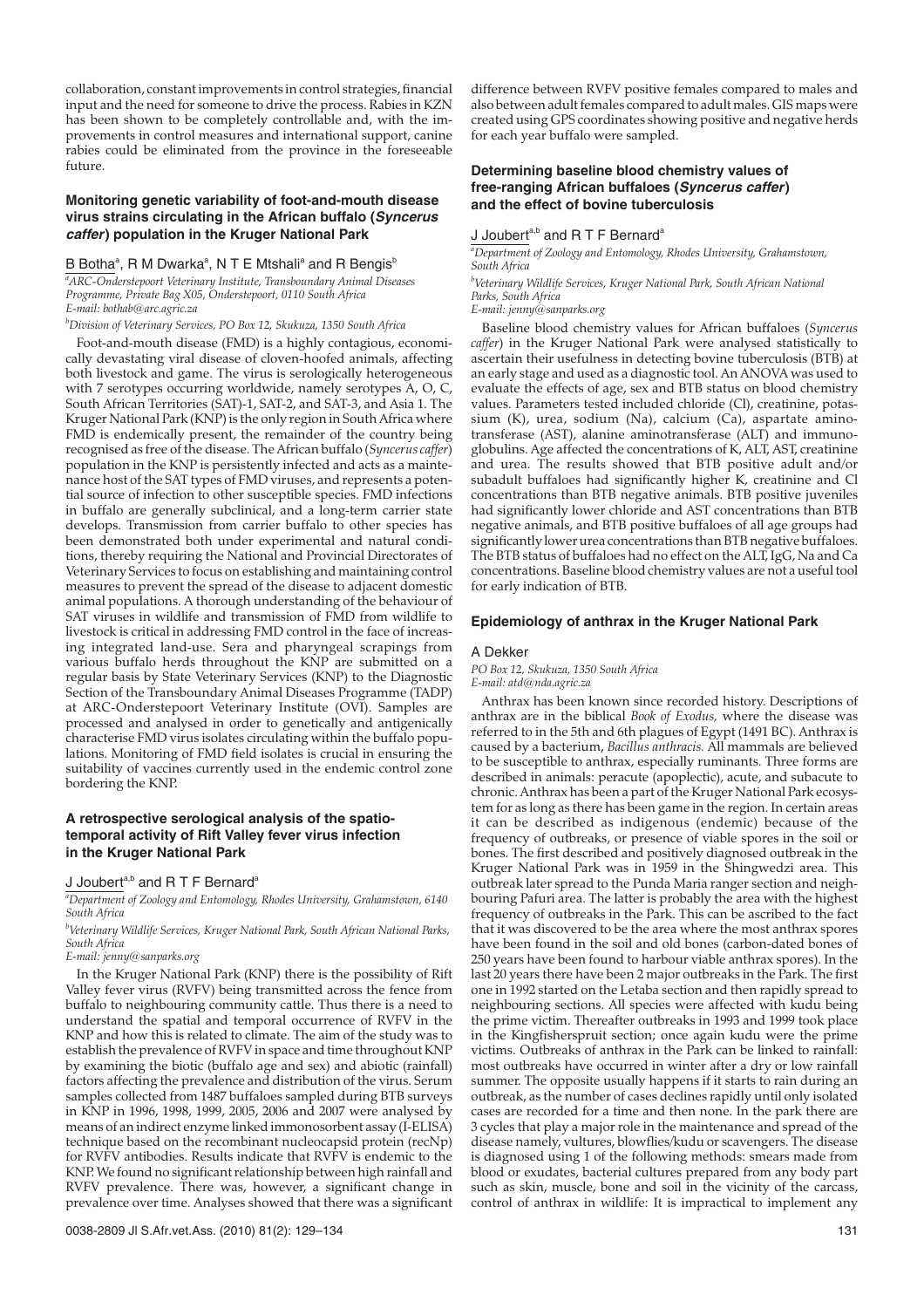collaboration, constant improvements in control strategies, financial input and the need for someone to drive the process. Rabies in KZN has been shown to be completely controllable and, with the improvements in control measures and international support, canine rabies could be eliminated from the province in the foreseeable future.

### **Monitoring genetic variability of foot-and-mouth disease virus strains circulating in the African buffalo (Syncerus caffer) population in the Kruger National Park**

### B Botha<sup>a</sup>, R M Dwarka<sup>a</sup>, N T E Mtshali<sup>a</sup> and R Bengis<sup>b</sup>

*a ARC-Onderstepoort Veterinary Institute, Transboundary Animal Diseases Programme, Private Bag X05, Onderstepoort, 0110 South Africa E-mail: bothab@arc.agric.za*

*b Division of Veterinary Services, PO Box 12, Skukuza, 1350 South Africa*

Foot-and-mouth disease (FMD) is a highly contagious, economically devastating viral disease of cloven-hoofed animals, affecting both livestock and game. The virus is serologically heterogeneous with 7 serotypes occurring worldwide, namely serotypes A, O, C, South African Territories (SAT)-1, SAT-2, and SAT-3, and Asia 1. The Kruger National Park (KNP) is the only region in South Africa where FMD is endemically present, the remainder of the country being recognised as free of the disease. The African buffalo (*Syncerus caffer*) population in the KNP is persistently infected and acts as a maintenance host of the SAT types of FMD viruses, and represents a potential source of infection to other susceptible species. FMD infections in buffalo are generally subclinical, and a long-term carrier state develops. Transmission from carrier buffalo to other species has been demonstrated both under experimental and natural conditions, thereby requiring the National and Provincial Directorates of Veterinary Services to focus on establishing and maintaining control measures to prevent the spread of the disease to adjacent domestic animal populations. A thorough understanding of the behaviour of SAT viruses in wildlife and transmission of FMD from wildlife to livestock is critical in addressing FMD control in the face of increasing integrated land-use. Sera and pharyngeal scrapings from various buffalo herds throughout the KNP are submitted on a regular basis by State Veterinary Services (KNP) to the Diagnostic Section of the Transboundary Animal Diseases Programme (TADP) at ARC-Onderstepoort Veterinary Institute (OVI). Samples are processed and analysed in order to genetically and antigenically characterise FMD virus isolates circulating within the buffalo populations. Monitoring of FMD field isolates is crucial in ensuring the suitability of vaccines currently used in the endemic control zone bordering the KNP.

# **A retrospective serological analysis of the spatiotemporal activity of Rift Valley fever virus infection in the Kruger National Park**

# J Joubert<sup>a,b</sup> and R T F Bernard<sup>a</sup>

*a Department of Zoology and Entomology, Rhodes University, Grahamstown, 6140 South Africa*

*b Veterinary Wildlife Services, Kruger National Park, South African National Parks, South Africa*

*E-mail: jenny@sanparks.org*

In the Kruger National Park (KNP) there is the possibility of Rift Valley fever virus (RVFV) being transmitted across the fence from buffalo to neighbouring community cattle. Thus there is a need to understand the spatial and temporal occurrence of RVFV in the KNP and how this is related to climate. The aim of the study was to establish the prevalence of RVFV in space and time throughout KNP by examining the biotic (buffalo age and sex) and abiotic (rainfall) factors affecting the prevalence and distribution of the virus. Serum samples collected from 1487 buffaloes sampled during BTB surveys in KNP in 1996, 1998, 1999, 2005, 2006 and 2007 were analysed by means of an indirect enzyme linked immonosorbent assay (I-ELISA) technique based on the recombinant nucleocapsid protein (recNp) for RVFV antibodies. Results indicate that RVFV is endemic to the KNP. We found no significant relationship between high rainfall and RVFV prevalence. There was, however, a significant change in prevalence over time. Analyses showed that there was a significant difference between RVFV positive females compared to males and also between adult females compared to adult males. GIS maps were created using GPS coordinates showing positive and negative herds for each year buffalo were sampled.

# **Determining baseline blood chemistry values of free-ranging African buffaloes (Syncerus caffer) and the effect of bovine tuberculosis**

### J Joubert<sup>a,b</sup> and R T F Bernard<sup>a</sup>

*a Department of Zoology and Entomology, Rhodes University, Grahamstown, South Africa*

*b Veterinary Wildlife Services, Kruger National Park, South African National Parks, South Africa*

*E-mail: jenny@sanparks.org*

Baseline blood chemistry values for African buffaloes (*Syncerus caffer*) in the Kruger National Park were analysed statistically to ascertain their usefulness in detecting bovine tuberculosis (BTB) at an early stage and used as a diagnostic tool. An ANOVA was used to evaluate the effects of age, sex and BTB status on blood chemistry values. Parameters tested included chloride (Cl), creatinine, potassium (K), urea, sodium (Na), calcium (Ca), aspartate aminotransferase (AST), alanine aminotransferase (ALT) and immunoglobulins. Age affected the concentrations of K, ALT, AST, creatinine and urea. The results showed that BTB positive adult and/or subadult buffaloes had significantly higher K, creatinine and Cl concentrations than BTB negative animals. BTB positive juveniles had significantly lower chloride and AST concentrations than BTB negative animals, and BTB positive buffaloes of all age groups had significantly lower urea concentrations than BTB negative buffaloes. The BTB status of buffaloes had no effect on the ALT, IgG, Na and Ca concentrations. Baseline blood chemistry values are not a useful tool for early indication of BTB.

#### **Epidemiology of anthrax in the Kruger National Park**

#### A Dekker

*PO Box 12, Skukuza, 1350 South Africa E-mail: atd@nda.agric.za*

Anthrax has been known since recorded history. Descriptions of anthrax are in the biblical *Book of Exodus,* where the disease was referred to in the 5th and 6th plagues of Egypt (1491 BC). Anthrax is caused by a bacterium, *Bacillus anthracis.* All mammals are believed to be susceptible to anthrax, especially ruminants. Three forms are described in animals: peracute (apoplectic), acute, and subacute to chronic. Anthrax has been a part of the Kruger National Park ecosystem for as long as there has been game in the region. In certain areas it can be described as indigenous (endemic) because of the frequency of outbreaks, or presence of viable spores in the soil or bones. The first described and positively diagnosed outbreak in the Kruger National Park was in 1959 in the Shingwedzi area. This outbreak later spread to the Punda Maria ranger section and neighbouring Pafuri area. The latter is probably the area with the highest frequency of outbreaks in the Park. This can be ascribed to the fact that it was discovered to be the area where the most anthrax spores have been found in the soil and old bones (carbon-dated bones of 250 years have been found to harbour viable anthrax spores). In the last 20 years there have been 2 major outbreaks in the Park. The first one in 1992 started on the Letaba section and then rapidly spread to neighbouring sections. All species were affected with kudu being the prime victim. Thereafter outbreaks in 1993 and 1999 took place in the Kingfisherspruit section; once again kudu were the prime victims. Outbreaks of anthrax in the Park can be linked to rainfall: most outbreaks have occurred in winter after a dry or low rainfall summer. The opposite usually happens if it starts to rain during an outbreak, as the number of cases declines rapidly until only isolated cases are recorded for a time and then none. In the park there are 3 cycles that play a major role in the maintenance and spread of the disease namely, vultures, blowflies/kudu or scavengers. The disease is diagnosed using 1 of the following methods: smears made from blood or exudates, bacterial cultures prepared from any body part such as skin, muscle, bone and soil in the vicinity of the carcass, control of anthrax in wildlife: It is impractical to implement any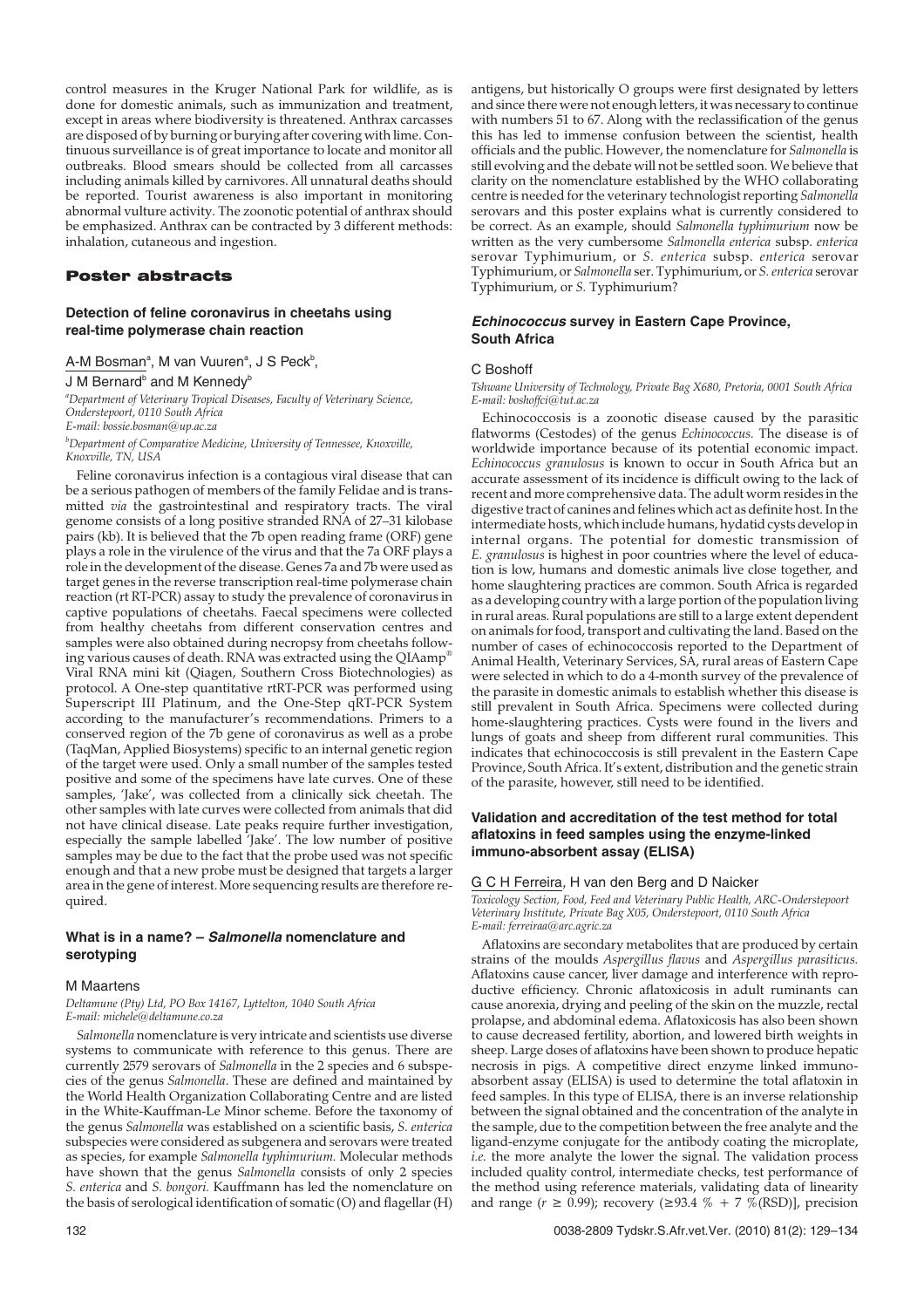control measures in the Kruger National Park for wildlife, as is done for domestic animals, such as immunization and treatment, except in areas where biodiversity is threatened. Anthrax carcasses are disposed of by burning or burying after covering with lime. Continuous surveillance is of great importance to locate and monitor all outbreaks. Blood smears should be collected from all carcasses including animals killed by carnivores. All unnatural deaths should be reported. Tourist awareness is also important in monitoring abnormal vulture activity. The zoonotic potential of anthrax should be emphasized. Anthrax can be contracted by 3 different methods: inhalation, cutaneous and ingestion.

# Poster abstracts

# **Detection of feline coronavirus in cheetahs using real-time polymerase chain reaction**

A-M Bosman<sup>a</sup>, M van Vuuren<sup>a</sup>, J S Peck<sup>b</sup>,

### J M Bernard<sup>b</sup> and M Kennedy<sup>b</sup>

*a Department of Veterinary Tropical Diseases, Faculty of Veterinary Science, Onderstepoort, 0110 South Africa E-mail: bossie.bosman@up.ac.za*

*b Department of Comparative Medicine, University of Tennessee, Knoxville, Knoxville, TN, USA*

Feline coronavirus infection is a contagious viral disease that can be a serious pathogen of members of the family Felidae and is transmitted *via* the gastrointestinal and respiratory tracts. The viral genome consists of a long positive stranded RNA of 27–31 kilobase pairs (kb). It is believed that the 7b open reading frame (ORF) gene plays a role in the virulence of the virus and that the 7a ORF plays a role in the development of the disease. Genes 7a and 7b were used as target genes in the reverse transcription real-time polymerase chain reaction (rt RT-PCR) assay to study the prevalence of coronavirus in captive populations of cheetahs. Faecal specimens were collected from healthy cheetahs from different conservation centres and samples were also obtained during necropsy from cheetahs following various causes of death. RNA was extracted using the QIAamp® Viral RNA mini kit (Qiagen, Southern Cross Biotechnologies) as protocol. A One-step quantitative rtRT-PCR was performed using Superscript III Platinum, and the One-Step qRT-PCR System according to the manufacturer's recommendations. Primers to a conserved region of the 7b gene of coronavirus as well as a probe (TaqMan, Applied Biosystems) specific to an internal genetic region of the target were used. Only a small number of the samples tested positive and some of the specimens have late curves. One of these samples, 'Jake', was collected from a clinically sick cheetah. The other samples with late curves were collected from animals that did not have clinical disease. Late peaks require further investigation, especially the sample labelled 'Jake'. The low number of positive samples may be due to the fact that the probe used was not specific enough and that a new probe must be designed that targets a larger area in the gene of interest. More sequencing results are therefore required.

# **What is in a name? – Salmonella nomenclature and serotyping**

### M Maartens

*Deltamune (Pty) Ltd, PO Box 14167, Lyttelton, 1040 South Africa E-mail: michele@deltamune.co.za*

*Salmonella* nomenclature is very intricate and scientists use diverse systems to communicate with reference to this genus. There are currently 2579 serovars of *Salmonella* in the 2 species and 6 subspecies of the genus *Salmonella*. These are defined and maintained by the World Health Organization Collaborating Centre and are listed in the White-Kauffman-Le Minor scheme. Before the taxonomy of the genus *Salmonella* was established on a scientific basis, *S. enterica* subspecies were considered as subgenera and serovars were treated as species, for example *Salmonella typhimurium.* Molecular methods have shown that the genus *Salmonella* consists of only 2 species *S. enterica* and *S. bongori.* Kauffmann has led the nomenclature on the basis of serological identification of somatic (O) and flagellar (H)

antigens, but historically O groups were first designated by letters and since there were not enough letters, it was necessary to continue with numbers 51 to 67. Along with the reclassification of the genus this has led to immense confusion between the scientist, health officials and the public. However, the nomenclature for *Salmonella* is still evolving and the debate will not be settled soon. We believe that clarity on the nomenclature established by the WHO collaborating centre is needed for the veterinary technologist reporting *Salmonella* serovars and this poster explains what is currently considered to be correct. As an example, should *Salmonella typhimurium* now be written as the very cumbersome *Salmonella enterica* subsp. *enterica* serovar Typhimurium, or *S. enterica* subsp. *enterica* serovar Typhimurium, or *Salmonella* ser. Typhimurium, or *S. enterica* serovar Typhimurium, or *S.* Typhimurium?

# **Echinococcus survey in Eastern Cape Province, South Africa**

### C Boshoff

*Tshwane University of Technology, Private Bag X680, Pretoria, 0001 South Africa E-mail: boshoffci@tut.ac.za*

Echinococcosis is a zoonotic disease caused by the parasitic flatworms (Cestodes) of the genus *Echinococcus.* The disease is of worldwide importance because of its potential economic impact. *Echinococcus granulosus* is known to occur in South Africa but an accurate assessment of its incidence is difficult owing to the lack of recent and more comprehensive data. The adult worm resides in the digestive tract of canines and felines which act as definite host. In the intermediate hosts, which include humans, hydatid cysts develop in internal organs. The potential for domestic transmission of *E. granulosus* is highest in poor countries where the level of education is low, humans and domestic animals live close together, and home slaughtering practices are common. South Africa is regarded as a developing country with a large portion of the population living in rural areas. Rural populations are still to a large extent dependent on animals for food, transport and cultivating the land. Based on the number of cases of echinococcosis reported to the Department of Animal Health, Veterinary Services, SA, rural areas of Eastern Cape were selected in which to do a 4-month survey of the prevalence of the parasite in domestic animals to establish whether this disease is still prevalent in South Africa. Specimens were collected during home-slaughtering practices. Cysts were found in the livers and lungs of goats and sheep from different rural communities. This indicates that echinococcosis is still prevalent in the Eastern Cape Province, South Africa. It's extent, distribution and the genetic strain of the parasite, however, still need to be identified.

# **Validation and accreditation of the test method for total aflatoxins in feed samples using the enzyme-linked immuno-absorbent assay (ELISA)**

### G C H Ferreira, H van den Berg and D Naicker

*Toxicology Section, Food, Feed and Veterinary Public Health, ARC-Onderstepoort Veterinary Institute, Private Bag X05, Onderstepoort, 0110 South Africa E-mail: ferreiraa@arc.agric.za*

Aflatoxins are secondary metabolites that are produced by certain strains of the moulds *Aspergillus flavus* and *Aspergillus parasiticus.* Aflatoxins cause cancer, liver damage and interference with reproductive efficiency. Chronic aflatoxicosis in adult ruminants can cause anorexia, drying and peeling of the skin on the muzzle, rectal prolapse, and abdominal edema. Aflatoxicosis has also been shown to cause decreased fertility, abortion, and lowered birth weights in sheep. Large doses of aflatoxins have been shown to produce hepatic necrosis in pigs. A competitive direct enzyme linked immunoabsorbent assay (ELISA) is used to determine the total aflatoxin in feed samples. In this type of ELISA, there is an inverse relationship between the signal obtained and the concentration of the analyte in the sample, due to the competition between the free analyte and the ligand-enzyme conjugate for the antibody coating the microplate, *i.e.* the more analyte the lower the signal. The validation process included quality control, intermediate checks, test performance of the method using reference materials, validating data of linearity and range ( $r \ge 0.99$ ); recovery ( $\ge 93.4 \%$  + 7 %(RSD)], precision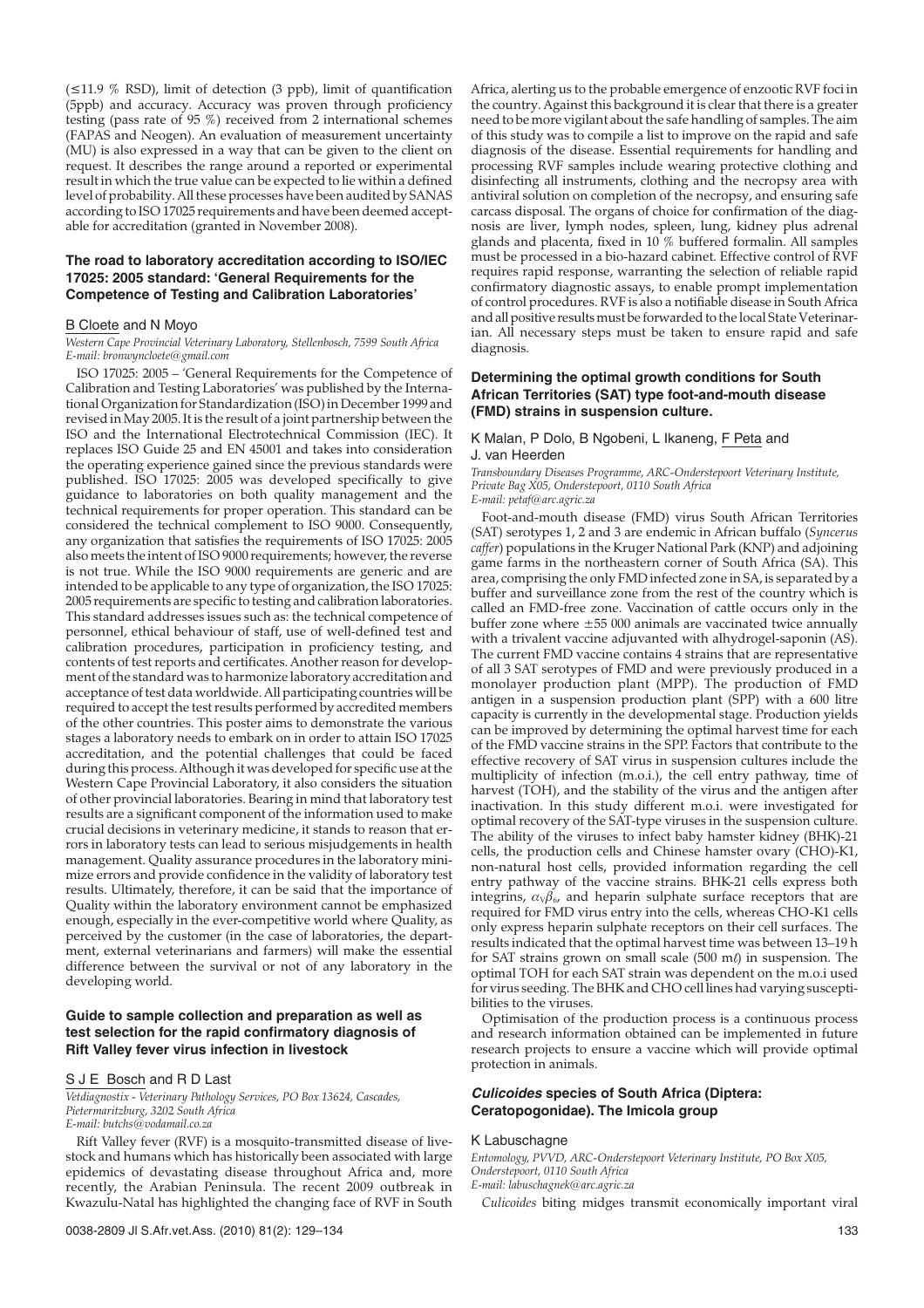(≤11.9 % RSD), limit of detection (3 ppb), limit of quantification (5ppb) and accuracy. Accuracy was proven through proficiency testing (pass rate of 95 %) received from 2 international schemes (FAPAS and Neogen). An evaluation of measurement uncertainty (MU) is also expressed in a way that can be given to the client on request. It describes the range around a reported or experimental result in which the true value can be expected to lie within a defined level of probability. All these processes have been audited by SANAS according to ISO 17025 requirements and have been deemed acceptable for accreditation (granted in November 2008).

# **The road to laboratory accreditation according to ISO/IEC 17025: 2005 standard: 'General Requirements for the Competence of Testing and Calibration Laboratories'**

### B Cloete and N Moyo

*Western Cape Provincial Veterinary Laboratory, Stellenbosch, 7599 South Africa E-mail: bronwyncloete@gmail.com*

ISO 17025: 2005 – 'General Requirements for the Competence of Calibration and Testing Laboratories' was published by the International Organization for Standardization (ISO) in December 1999 and revised in May 2005. It is the result of a joint partnership between the ISO and the International Electrotechnical Commission (IEC). It replaces ISO Guide 25 and EN 45001 and takes into consideration the operating experience gained since the previous standards were published. ISO 17025: 2005 was developed specifically to give guidance to laboratories on both quality management and the technical requirements for proper operation. This standard can be considered the technical complement to ISO 9000. Consequently, any organization that satisfies the requirements of ISO 17025: 2005 also meets the intent of ISO 9000 requirements; however, the reverse is not true. While the ISO 9000 requirements are generic and are intended to be applicable to any type of organization, the ISO 17025: 2005 requirements are specific to testing and calibration laboratories. This standard addresses issues such as: the technical competence of personnel, ethical behaviour of staff, use of well-defined test and calibration procedures, participation in proficiency testing, and contents of test reports and certificates. Another reason for development of the standard was to harmonize laboratory accreditation and acceptance of test data worldwide. All participating countries will be required to accept the test results performed by accredited members of the other countries. This poster aims to demonstrate the various stages a laboratory needs to embark on in order to attain ISO 17025 accreditation, and the potential challenges that could be faced during this process. Although it was developed for specific use at the Western Cape Provincial Laboratory, it also considers the situation of other provincial laboratories. Bearing in mind that laboratory test results are a significant component of the information used to make crucial decisions in veterinary medicine, it stands to reason that errors in laboratory tests can lead to serious misjudgements in health management. Quality assurance procedures in the laboratory minimize errors and provide confidence in the validity of laboratory test results. Ultimately, therefore, it can be said that the importance of Quality within the laboratory environment cannot be emphasized enough, especially in the ever-competitive world where Quality, as perceived by the customer (in the case of laboratories, the department, external veterinarians and farmers) will make the essential difference between the survival or not of any laboratory in the developing world.

# **Guide to sample collection and preparation as well as test selection for the rapid confirmatory diagnosis of Rift Valley fever virus infection in livestock**

#### S J E Bosch and R D Last

*Vetdiagnostix - Veterinary Pathology Services, PO Box 13624, Cascades, Pietermaritzburg, 3202 South Africa E-mail: butchs@vodamail.co.za*

Rift Valley fever (RVF) is a mosquito-transmitted disease of livestock and humans which has historically been associated with large epidemics of devastating disease throughout Africa and, more recently, the Arabian Peninsula. The recent 2009 outbreak in Kwazulu-Natal has highlighted the changing face of RVF in South

Africa, alerting us to the probable emergence of enzootic RVF foci in the country. Against this background it is clear that there is a greater need to be more vigilant about the safe handling of samples. The aim of this study was to compile a list to improve on the rapid and safe diagnosis of the disease. Essential requirements for handling and processing RVF samples include wearing protective clothing and disinfecting all instruments, clothing and the necropsy area with antiviral solution on completion of the necropsy, and ensuring safe carcass disposal. The organs of choice for confirmation of the diagnosis are liver, lymph nodes, spleen, lung, kidney plus adrenal glands and placenta, fixed in 10 % buffered formalin. All samples must be processed in a bio-hazard cabinet. Effective control of RVF requires rapid response, warranting the selection of reliable rapid confirmatory diagnostic assays, to enable prompt implementation of control procedures. RVF is also a notifiable disease in South Africa and all positive results must be forwarded to the local State Veterinarian. All necessary steps must be taken to ensure rapid and safe diagnosis.

# **Determining the optimal growth conditions for South African Territories (SAT) type foot-and-mouth disease (FMD) strains in suspension culture.**

### K Malan, P Dolo, B Ngobeni, L Ikaneng, F Peta and J. van Heerden

*Transboundary Diseases Programme, ARC-Onderstepoort Veterinary Institute, Private Bag X05, Onderstepoort, 0110 South Africa*

*E-mail: petaf@arc.agric.za*

Foot-and-mouth disease (FMD) virus South African Territories (SAT) serotypes 1, 2 and 3 are endemic in African buffalo (*Syncerus caffer*) populations in the Kruger National Park (KNP) and adjoining game farms in the northeastern corner of South Africa (SA). This area, comprising the only FMD infected zone in SA, is separated by a buffer and surveillance zone from the rest of the country which is called an FMD-free zone. Vaccination of cattle occurs only in the buffer zone where ±55 000 animals are vaccinated twice annually with a trivalent vaccine adjuvanted with alhydrogel-saponin (AS). The current FMD vaccine contains 4 strains that are representative of all 3 SAT serotypes of FMD and were previously produced in a monolayer production plant (MPP). The production of FMD antigen in a suspension production plant (SPP) with a 600 litre capacity is currently in the developmental stage. Production yields can be improved by determining the optimal harvest time for each of the FMD vaccine strains in the SPP. Factors that contribute to the effective recovery of SAT virus in suspension cultures include the multiplicity of infection (m.o.i.), the cell entry pathway, time of harvest (TOH), and the stability of the virus and the antigen after inactivation. In this study different m.o.i. were investigated for optimal recovery of the SAT-type viruses in the suspension culture. The ability of the viruses to infect baby hamster kidney (BHK)-21 cells, the production cells and Chinese hamster ovary (CHO)-K1, non-natural host cells, provided information regarding the cell entry pathway of the vaccine strains. BHK-21 cells express both integrins,  $\alpha_{\rm V}\beta_{6}$ , and heparin sulphate surface receptors that are required for FMD virus entry into the cells, whereas CHO-K1 cells only express heparin sulphate receptors on their cell surfaces. The results indicated that the optimal harvest time was between 13–19 h for SAT strains grown on small scale (500 m $\ell$ ) in suspension. The optimal TOH for each SAT strain was dependent on the m.o.i used for virus seeding. The BHK and CHO cell lines had varying susceptibilities to the viruses.

Optimisation of the production process is a continuous process and research information obtained can be implemented in future research projects to ensure a vaccine which will provide optimal protection in animals.

# **Culicoides species of South Africa (Diptera: Ceratopogonidae). The Imicola group**

### K Labuschagne

*Entomology, PVVD, ARC-Onderstepoort Veterinary Institute, PO Box X05, Onderstepoort, 0110 South Africa E-mail: labuschagnek@arc.agric.za*

*Culicoides* biting midges transmit economically important viral